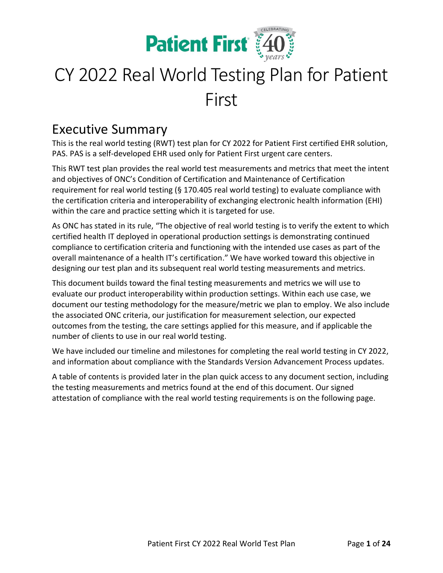

# CY 2022 Real World Testing Plan for Patient First

## <span id="page-0-0"></span>Executive Summary

This is the real world testing (RWT) test plan for CY 2022 for Patient First certified EHR solution, PAS. PAS is a self-developed EHR used only for Patient First urgent care centers.

This RWT test plan provides the real world test measurements and metrics that meet the intent and objectives of ONC's Condition of Certification and Maintenance of Certification requirement for real world testing (§ 170.405 real world testing) to evaluate compliance with the certification criteria and interoperability of exchanging electronic health information (EHI) within the care and practice setting which it is targeted for use.

As ONC has stated in its rule, "The objective of real world testing is to verify the extent to which certified health IT deployed in operational production settings is demonstrating continued compliance to certification criteria and functioning with the intended use cases as part of the overall maintenance of a health IT's certification." We have worked toward this objective in designing our test plan and its subsequent real world testing measurements and metrics.

This document builds toward the final testing measurements and metrics we will use to evaluate our product interoperability within production settings. Within each use case, we document our testing methodology for the measure/metric we plan to employ. We also include the associated ONC criteria, our justification for measurement selection, our expected outcomes from the testing, the care settings applied for this measure, and if applicable the number of clients to use in our real world testing.

We have included our timeline and milestones for completing the real world testing in CY 2022, and information about compliance with the Standards Version Advancement Process updates.

A table of contents is provided later in the plan quick access to any document section, including the testing measurements and metrics found at the end of this document. Our signed attestation of compliance with the real world testing requirements is on the following page.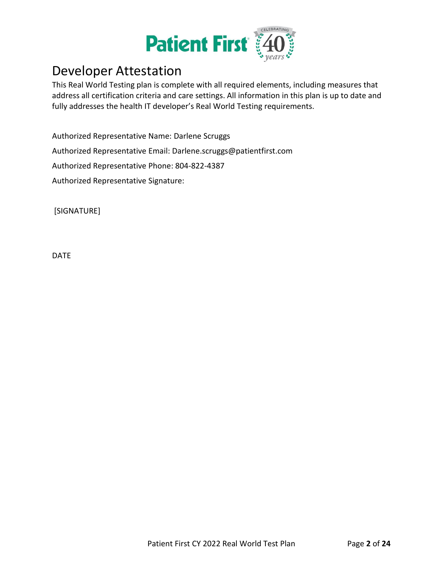

# <span id="page-1-0"></span>Developer Attestation

This Real World Testing plan is complete with all required elements, including measures that address all certification criteria and care settings. All information in this plan is up to date and fully addresses the health IT developer's Real World Testing requirements.

Authorized Representative Name: Darlene Scruggs Authorized Representative Email: Darlene.scruggs@patientfirst.com Authorized Representative Phone: 804-822-4387 Authorized Representative Signature:

[SIGNATURE]

DATE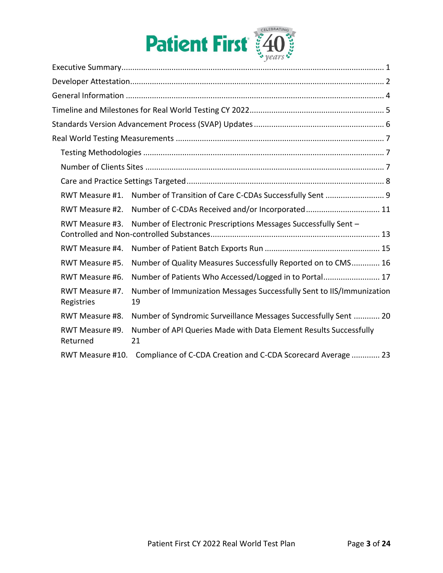

| RWT Measure #1.               | Number of Transition of Care C-CDAs Successfully Sent  9                    |
|-------------------------------|-----------------------------------------------------------------------------|
| RWT Measure #2.               | Number of C-CDAs Received and/or Incorporated 11                            |
| RWT Measure #3.               | Number of Electronic Prescriptions Messages Successfully Sent -             |
| RWT Measure #4.               |                                                                             |
| RWT Measure #5.               | Number of Quality Measures Successfully Reported on to CMS 16               |
| RWT Measure #6.               | Number of Patients Who Accessed/Logged in to Portal 17                      |
| RWT Measure #7.<br>Registries | Number of Immunization Messages Successfully Sent to IIS/Immunization<br>19 |
| RWT Measure #8.               | Number of Syndromic Surveillance Messages Successfully Sent  20             |
| RWT Measure #9.<br>Returned   | Number of API Queries Made with Data Element Results Successfully<br>21     |
| RWT Measure #10.              | Compliance of C-CDA Creation and C-CDA Scorecard Average  23                |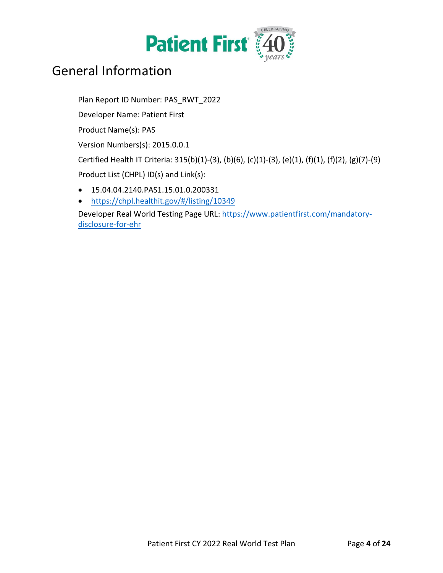

# <span id="page-3-0"></span>General Information

Plan Report ID Number: PAS\_RWT\_2022 Developer Name: Patient First Product Name(s): PAS Version Numbers(s): 2015.0.0.1

Certified Health IT Criteria: 315(b)(1)-(3), (b)(6), (c)(1)-(3), (e)(1), (f)(1), (f)(2), (g)(7)-(9)

Product List (CHPL) ID(s) and Link(s):

- 15.04.04.2140.PAS1.15.01.0.200331
- <https://chpl.healthit.gov/#/listing/10349>

Developer Real World Testing Page URL: [https://www.patientfirst.com/mandatory](https://www.patientfirst.com/mandatory-disclosure-for-ehr)[disclosure-for-ehr](https://www.patientfirst.com/mandatory-disclosure-for-ehr)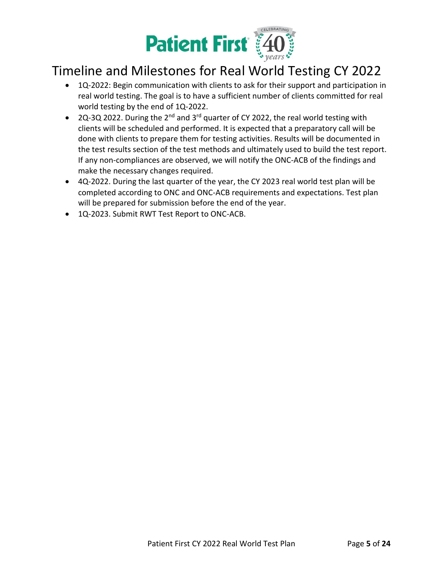

# <span id="page-4-0"></span>Timeline and Milestones for Real World Testing CY 2022

- 1Q-2022: Begin communication with clients to ask for their support and participation in real world testing. The goal is to have a sufficient number of clients committed for real world testing by the end of 1Q-2022.
- $\bullet$  2Q-3Q 2022. During the 2<sup>nd</sup> and 3<sup>rd</sup> quarter of CY 2022, the real world testing with clients will be scheduled and performed. It is expected that a preparatory call will be done with clients to prepare them for testing activities. Results will be documented in the test results section of the test methods and ultimately used to build the test report. If any non-compliances are observed, we will notify the ONC-ACB of the findings and make the necessary changes required.
- 4Q-2022. During the last quarter of the year, the CY 2023 real world test plan will be completed according to ONC and ONC-ACB requirements and expectations. Test plan will be prepared for submission before the end of the year.
- 1Q-2023. Submit RWT Test Report to ONC-ACB.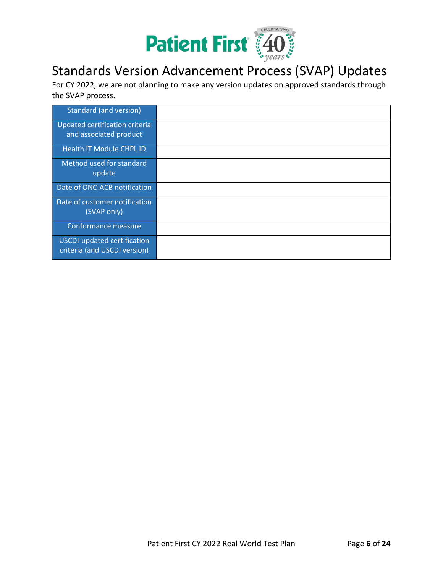

# <span id="page-5-0"></span>Standards Version Advancement Process (SVAP) Updates

For CY 2022, we are not planning to make any version updates on approved standards through the SVAP process.

| Standard (and version)                                      |  |
|-------------------------------------------------------------|--|
| Updated certification criteria<br>and associated product    |  |
| <b>Health IT Module CHPL ID</b>                             |  |
| Method used for standard<br>update                          |  |
| Date of ONC-ACB notification                                |  |
| Date of customer notification<br>(SVAP only)                |  |
| Conformance measure                                         |  |
| USCDI-updated certification<br>criteria (and USCDI version) |  |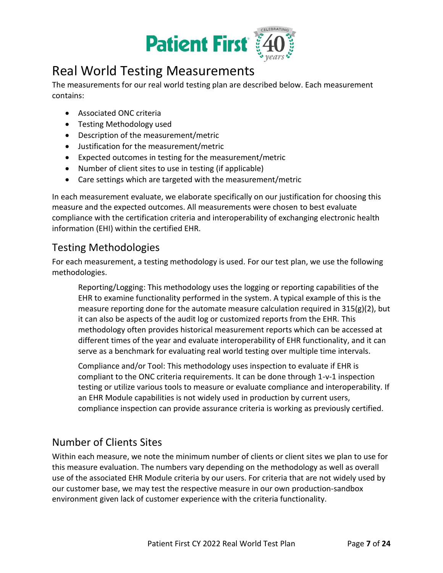

# <span id="page-6-0"></span>Real World Testing Measurements

The measurements for our real world testing plan are described below. Each measurement contains:

- Associated ONC criteria
- Testing Methodology used
- Description of the measurement/metric
- Justification for the measurement/metric
- Expected outcomes in testing for the measurement/metric
- Number of client sites to use in testing (if applicable)
- Care settings which are targeted with the measurement/metric

In each measurement evaluate, we elaborate specifically on our justification for choosing this measure and the expected outcomes. All measurements were chosen to best evaluate compliance with the certification criteria and interoperability of exchanging electronic health information (EHI) within the certified EHR.

### <span id="page-6-1"></span>Testing Methodologies

For each measurement, a testing methodology is used. For our test plan, we use the following methodologies.

Reporting/Logging: This methodology uses the logging or reporting capabilities of the EHR to examine functionality performed in the system. A typical example of this is the measure reporting done for the automate measure calculation required in  $315(g)(2)$ , but it can also be aspects of the audit log or customized reports from the EHR. This methodology often provides historical measurement reports which can be accessed at different times of the year and evaluate interoperability of EHR functionality, and it can serve as a benchmark for evaluating real world testing over multiple time intervals.

Compliance and/or Tool: This methodology uses inspection to evaluate if EHR is compliant to the ONC criteria requirements. It can be done through 1-v-1 inspection testing or utilize various tools to measure or evaluate compliance and interoperability. If an EHR Module capabilities is not widely used in production by current users, compliance inspection can provide assurance criteria is working as previously certified.

### <span id="page-6-2"></span>Number of Clients Sites

Within each measure, we note the minimum number of clients or client sites we plan to use for this measure evaluation. The numbers vary depending on the methodology as well as overall use of the associated EHR Module criteria by our users. For criteria that are not widely used by our customer base, we may test the respective measure in our own production-sandbox environment given lack of customer experience with the criteria functionality.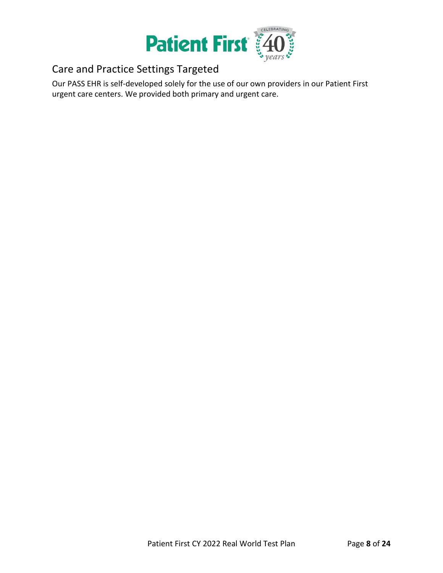

### <span id="page-7-0"></span>Care and Practice Settings Targeted

Our PASS EHR is self-developed solely for the use of our own providers in our Patient First urgent care centers. We provided both primary and urgent care.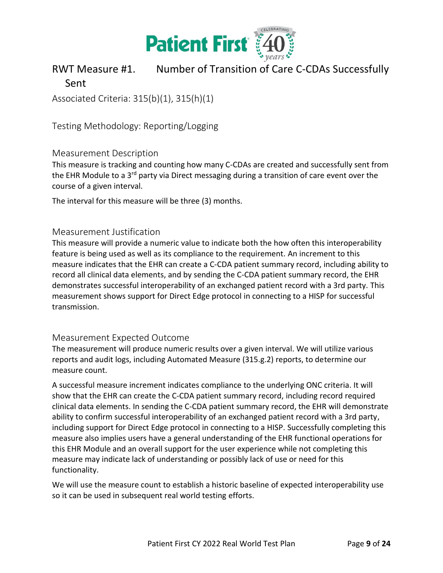

### <span id="page-8-0"></span>RWT Measure #1. Number of Transition of Care C-CDAs Successfully Sent

Associated Criteria: 315(b)(1), 315(h)(1)

Testing Methodology: Reporting/Logging

### Measurement Description

This measure is tracking and counting how many C-CDAs are created and successfully sent from the EHR Module to a 3<sup>rd</sup> party via Direct messaging during a transition of care event over the course of a given interval.

The interval for this measure will be three (3) months.

### Measurement Justification

This measure will provide a numeric value to indicate both the how often this interoperability feature is being used as well as its compliance to the requirement. An increment to this measure indicates that the EHR can create a C-CDA patient summary record, including ability to record all clinical data elements, and by sending the C-CDA patient summary record, the EHR demonstrates successful interoperability of an exchanged patient record with a 3rd party. This measurement shows support for Direct Edge protocol in connecting to a HISP for successful transmission.

### Measurement Expected Outcome

The measurement will produce numeric results over a given interval. We will utilize various reports and audit logs, including Automated Measure (315.g.2) reports, to determine our measure count.

A successful measure increment indicates compliance to the underlying ONC criteria. It will show that the EHR can create the C-CDA patient summary record, including record required clinical data elements. In sending the C-CDA patient summary record, the EHR will demonstrate ability to confirm successful interoperability of an exchanged patient record with a 3rd party, including support for Direct Edge protocol in connecting to a HISP. Successfully completing this measure also implies users have a general understanding of the EHR functional operations for this EHR Module and an overall support for the user experience while not completing this measure may indicate lack of understanding or possibly lack of use or need for this functionality.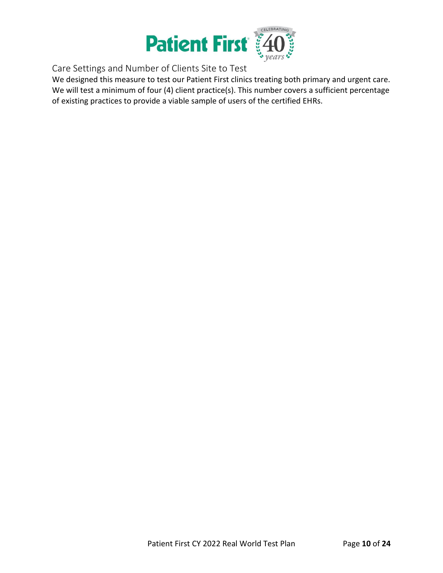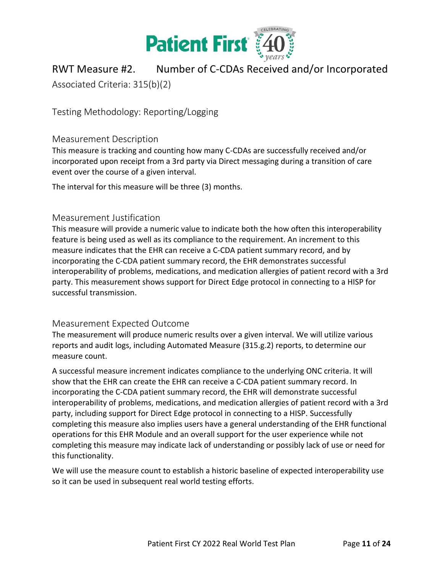

### <span id="page-10-0"></span>RWT Measure #2. Number of C-CDAs Received and/or Incorporated

Associated Criteria: 315(b)(2)

Testing Methodology: Reporting/Logging

### Measurement Description

This measure is tracking and counting how many C-CDAs are successfully received and/or incorporated upon receipt from a 3rd party via Direct messaging during a transition of care event over the course of a given interval.

The interval for this measure will be three (3) months.

### Measurement Justification

This measure will provide a numeric value to indicate both the how often this interoperability feature is being used as well as its compliance to the requirement. An increment to this measure indicates that the EHR can receive a C-CDA patient summary record, and by incorporating the C-CDA patient summary record, the EHR demonstrates successful interoperability of problems, medications, and medication allergies of patient record with a 3rd party. This measurement shows support for Direct Edge protocol in connecting to a HISP for successful transmission.

### Measurement Expected Outcome

The measurement will produce numeric results over a given interval. We will utilize various reports and audit logs, including Automated Measure (315.g.2) reports, to determine our measure count.

A successful measure increment indicates compliance to the underlying ONC criteria. It will show that the EHR can create the EHR can receive a C-CDA patient summary record. In incorporating the C-CDA patient summary record, the EHR will demonstrate successful interoperability of problems, medications, and medication allergies of patient record with a 3rd party, including support for Direct Edge protocol in connecting to a HISP. Successfully completing this measure also implies users have a general understanding of the EHR functional operations for this EHR Module and an overall support for the user experience while not completing this measure may indicate lack of understanding or possibly lack of use or need for this functionality.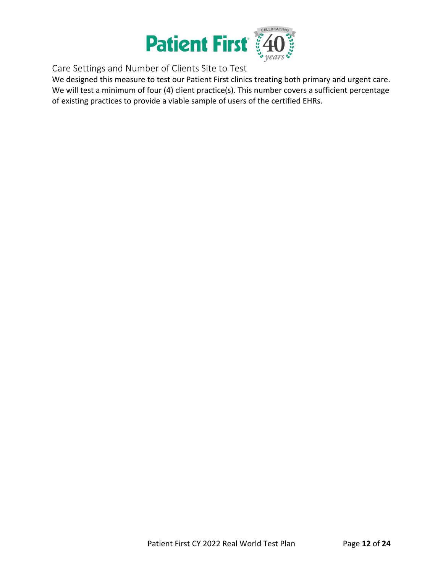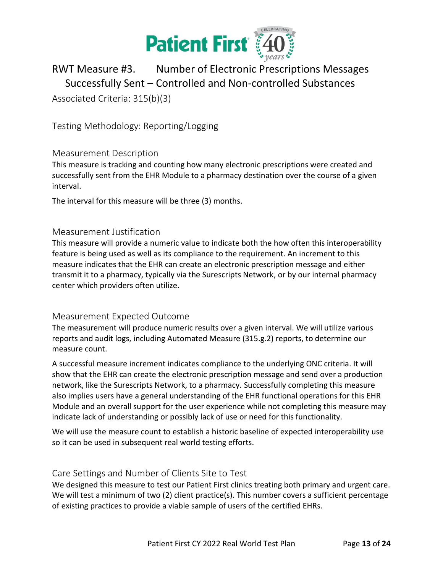

### <span id="page-12-0"></span>RWT Measure #3. Number of Electronic Prescriptions Messages Successfully Sent – Controlled and Non-controlled Substances

Associated Criteria: 315(b)(3)

Testing Methodology: Reporting/Logging

Measurement Description

This measure is tracking and counting how many electronic prescriptions were created and successfully sent from the EHR Module to a pharmacy destination over the course of a given interval.

The interval for this measure will be three (3) months.

#### Measurement Justification

This measure will provide a numeric value to indicate both the how often this interoperability feature is being used as well as its compliance to the requirement. An increment to this measure indicates that the EHR can create an electronic prescription message and either transmit it to a pharmacy, typically via the Surescripts Network, or by our internal pharmacy center which providers often utilize.

#### Measurement Expected Outcome

The measurement will produce numeric results over a given interval. We will utilize various reports and audit logs, including Automated Measure (315.g.2) reports, to determine our measure count.

A successful measure increment indicates compliance to the underlying ONC criteria. It will show that the EHR can create the electronic prescription message and send over a production network, like the Surescripts Network, to a pharmacy. Successfully completing this measure also implies users have a general understanding of the EHR functional operations for this EHR Module and an overall support for the user experience while not completing this measure may indicate lack of understanding or possibly lack of use or need for this functionality.

We will use the measure count to establish a historic baseline of expected interoperability use so it can be used in subsequent real world testing efforts.

### Care Settings and Number of Clients Site to Test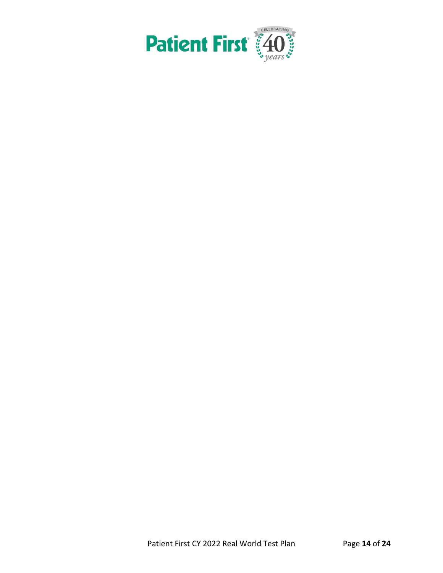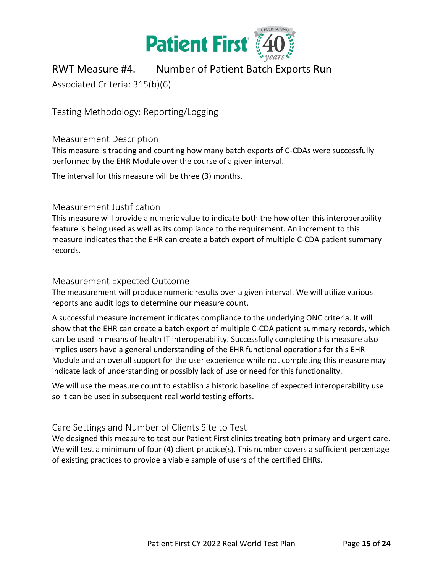

### <span id="page-14-0"></span>RWT Measure #4. Number of Patient Batch Exports Run

Associated Criteria: 315(b)(6)

Testing Methodology: Reporting/Logging

### Measurement Description

This measure is tracking and counting how many batch exports of C-CDAs were successfully performed by the EHR Module over the course of a given interval.

The interval for this measure will be three (3) months.

### Measurement Justification

This measure will provide a numeric value to indicate both the how often this interoperability feature is being used as well as its compliance to the requirement. An increment to this measure indicates that the EHR can create a batch export of multiple C-CDA patient summary records.

### Measurement Expected Outcome

The measurement will produce numeric results over a given interval. We will utilize various reports and audit logs to determine our measure count.

A successful measure increment indicates compliance to the underlying ONC criteria. It will show that the EHR can create a batch export of multiple C-CDA patient summary records, which can be used in means of health IT interoperability. Successfully completing this measure also implies users have a general understanding of the EHR functional operations for this EHR Module and an overall support for the user experience while not completing this measure may indicate lack of understanding or possibly lack of use or need for this functionality.

We will use the measure count to establish a historic baseline of expected interoperability use so it can be used in subsequent real world testing efforts.

### Care Settings and Number of Clients Site to Test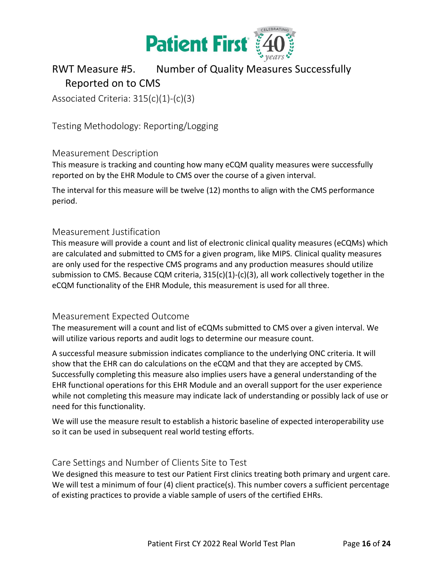

### <span id="page-15-0"></span>RWT Measure #5. Number of Quality Measures Successfully Reported on to CMS

Associated Criteria: 315(c)(1)-(c)(3)

Testing Methodology: Reporting/Logging

Measurement Description

This measure is tracking and counting how many eCQM quality measures were successfully reported on by the EHR Module to CMS over the course of a given interval.

The interval for this measure will be twelve (12) months to align with the CMS performance period.

### Measurement Justification

This measure will provide a count and list of electronic clinical quality measures (eCQMs) which are calculated and submitted to CMS for a given program, like MIPS. Clinical quality measures are only used for the respective CMS programs and any production measures should utilize submission to CMS. Because CQM criteria,  $315(c)(1)-(c)(3)$ , all work collectively together in the eCQM functionality of the EHR Module, this measurement is used for all three.

#### Measurement Expected Outcome

The measurement will a count and list of eCQMs submitted to CMS over a given interval. We will utilize various reports and audit logs to determine our measure count.

A successful measure submission indicates compliance to the underlying ONC criteria. It will show that the EHR can do calculations on the eCQM and that they are accepted by CMS. Successfully completing this measure also implies users have a general understanding of the EHR functional operations for this EHR Module and an overall support for the user experience while not completing this measure may indicate lack of understanding or possibly lack of use or need for this functionality.

We will use the measure result to establish a historic baseline of expected interoperability use so it can be used in subsequent real world testing efforts.

### Care Settings and Number of Clients Site to Test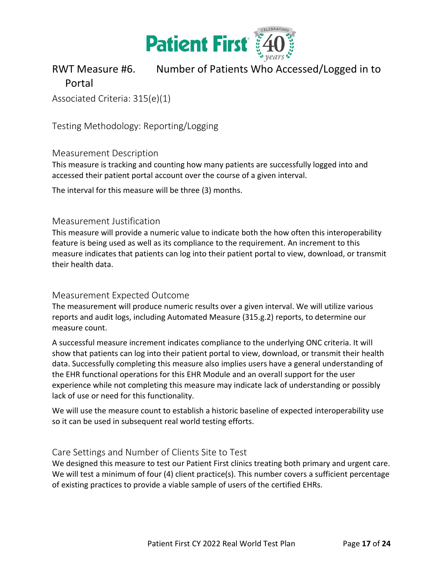

### <span id="page-16-0"></span>RWT Measure #6. Number of Patients Who Accessed/Logged in to Portal

Associated Criteria: 315(e)(1)

Testing Methodology: Reporting/Logging

#### Measurement Description

This measure is tracking and counting how many patients are successfully logged into and accessed their patient portal account over the course of a given interval.

The interval for this measure will be three (3) months.

### Measurement Justification

This measure will provide a numeric value to indicate both the how often this interoperability feature is being used as well as its compliance to the requirement. An increment to this measure indicates that patients can log into their patient portal to view, download, or transmit their health data.

### Measurement Expected Outcome

The measurement will produce numeric results over a given interval. We will utilize various reports and audit logs, including Automated Measure (315.g.2) reports, to determine our measure count.

A successful measure increment indicates compliance to the underlying ONC criteria. It will show that patients can log into their patient portal to view, download, or transmit their health data. Successfully completing this measure also implies users have a general understanding of the EHR functional operations for this EHR Module and an overall support for the user experience while not completing this measure may indicate lack of understanding or possibly lack of use or need for this functionality.

We will use the measure count to establish a historic baseline of expected interoperability use so it can be used in subsequent real world testing efforts.

#### Care Settings and Number of Clients Site to Test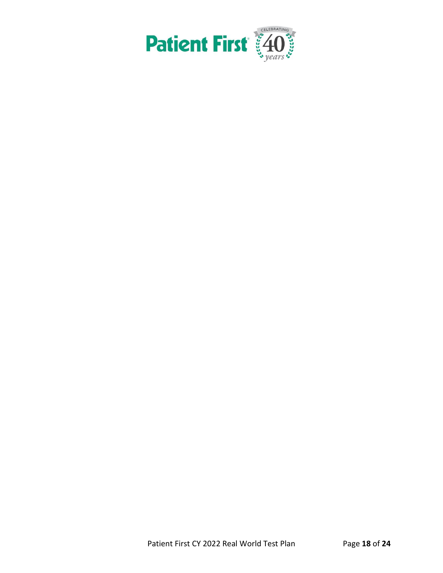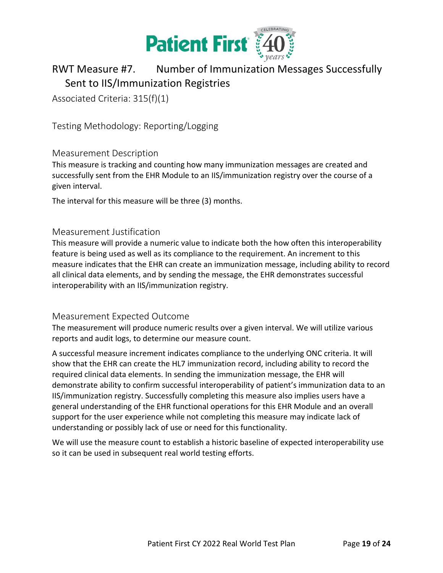

### <span id="page-18-0"></span>RWT Measure #7. Number of Immunization Messages Successfully Sent to IIS/Immunization Registries

Associated Criteria: 315(f)(1)

Testing Methodology: Reporting/Logging

Measurement Description

This measure is tracking and counting how many immunization messages are created and successfully sent from the EHR Module to an IIS/immunization registry over the course of a given interval.

The interval for this measure will be three (3) months.

#### Measurement Justification

This measure will provide a numeric value to indicate both the how often this interoperability feature is being used as well as its compliance to the requirement. An increment to this measure indicates that the EHR can create an immunization message, including ability to record all clinical data elements, and by sending the message, the EHR demonstrates successful interoperability with an IIS/immunization registry.

#### Measurement Expected Outcome

The measurement will produce numeric results over a given interval. We will utilize various reports and audit logs, to determine our measure count.

A successful measure increment indicates compliance to the underlying ONC criteria. It will show that the EHR can create the HL7 immunization record, including ability to record the required clinical data elements. In sending the immunization message, the EHR will demonstrate ability to confirm successful interoperability of patient's immunization data to an IIS/immunization registry. Successfully completing this measure also implies users have a general understanding of the EHR functional operations for this EHR Module and an overall support for the user experience while not completing this measure may indicate lack of understanding or possibly lack of use or need for this functionality.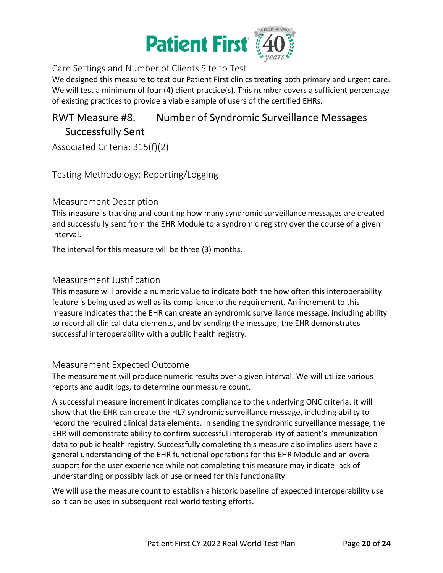

We designed this measure to test our Patient First clinics treating both primary and urgent care. We will test a minimum of four (4) client practice(s). This number covers a sufficient percentage of existing practices to provide a viable sample of users of the certified EHRs.

### <span id="page-19-0"></span>RWT Measure #8. Number of Syndromic Surveillance Messages Successfully Sent

Associated Criteria: 315(f)(2)

Testing Methodology: Reporting/Logging

### Measurement Description

This measure is tracking and counting how many syndromic surveillance messages are created and successfully sent from the EHR Module to a syndromic registry over the course of a given interval.

The interval for this measure will be three (3) months.

### Measurement Justification

This measure will provide a numeric value to indicate both the how often this interoperability feature is being used as well as its compliance to the requirement. An increment to this measure indicates that the EHR can create an syndromic surveillance message, including ability to record all clinical data elements, and by sending the message, the EHR demonstrates successful interoperability with a public health registry.

### Measurement Expected Outcome

The measurement will produce numeric results over a given interval. We will utilize various reports and audit logs, to determine our measure count.

A successful measure increment indicates compliance to the underlying ONC criteria. It will show that the EHR can create the HL7 syndromic surveillance message, including ability to record the required clinical data elements. In sending the syndromic surveillance message, the EHR will demonstrate ability to confirm successful interoperability of patient's immunization data to public health registry. Successfully completing this measure also implies users have a general understanding of the EHR functional operations for this EHR Module and an overall support for the user experience while not completing this measure may indicate lack of understanding or possibly lack of use or need for this functionality.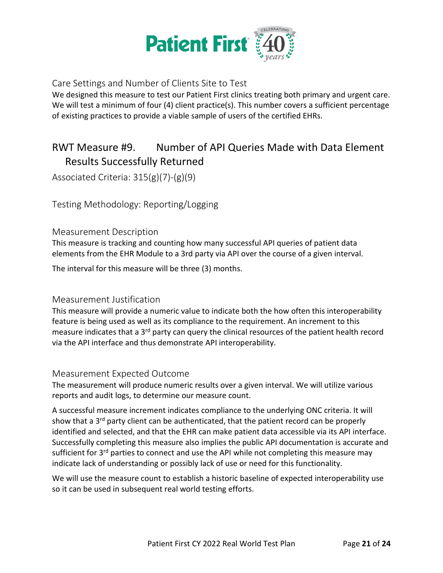

We designed this measure to test our Patient First clinics treating both primary and urgent care. We will test a minimum of four (4) client practice(s). This number covers a sufficient percentage of existing practices to provide a viable sample of users of the certified EHRs.

### <span id="page-20-0"></span>RWT Measure #9. Number of API Queries Made with Data Element Results Successfully Returned

Associated Criteria: 315(g)(7)-(g)(9)

Testing Methodology: Reporting/Logging

### Measurement Description

This measure is tracking and counting how many successful API queries of patient data elements from the EHR Module to a 3rd party via API over the course of a given interval.

The interval for this measure will be three (3) months.

#### Measurement Justification

This measure will provide a numeric value to indicate both the how often this interoperability feature is being used as well as its compliance to the requirement. An increment to this measure indicates that a 3<sup>rd</sup> party can query the clinical resources of the patient health record via the API interface and thus demonstrate API interoperability.

#### Measurement Expected Outcome

The measurement will produce numeric results over a given interval. We will utilize various reports and audit logs, to determine our measure count.

A successful measure increment indicates compliance to the underlying ONC criteria. It will show that a 3<sup>rd</sup> party client can be authenticated, that the patient record can be properly identified and selected, and that the EHR can make patient data accessible via its API interface. Successfully completing this measure also implies the public API documentation is accurate and sufficient for 3<sup>rd</sup> parties to connect and use the API while not completing this measure may indicate lack of understanding or possibly lack of use or need for this functionality.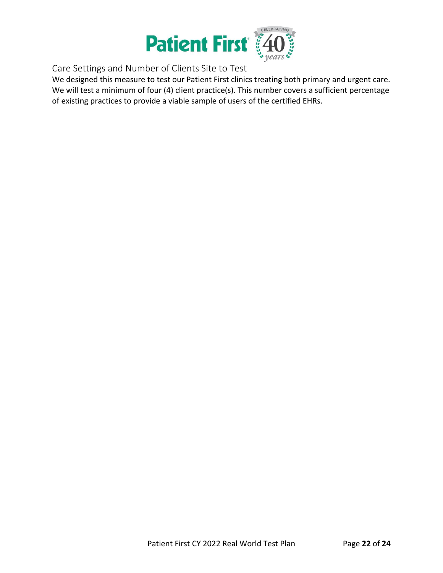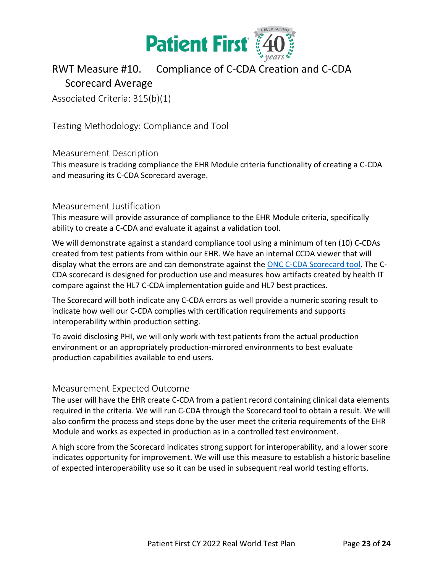

### <span id="page-22-0"></span>RWT Measure #10. Compliance of C-CDA Creation and C-CDA Scorecard Average

Associated Criteria: 315(b)(1)

Testing Methodology: Compliance and Tool

Measurement Description This measure is tracking compliance the EHR Module criteria functionality of creating a C-CDA and measuring its C-CDA Scorecard average.

### Measurement Justification

This measure will provide assurance of compliance to the EHR Module criteria, specifically ability to create a C-CDA and evaluate it against a validation tool.

We will demonstrate against a standard compliance tool using a minimum of ten (10) C-CDAs created from test patients from within our EHR. We have an internal CCDA viewer that will display what the errors are and can demonstrate against the [ONC C-CDA Scorecard tool.](https://site.healthit.gov/scorecard/) The C-CDA scorecard is designed for production use and measures how artifacts created by health IT compare against the HL7 C-CDA implementation guide and HL7 best practices.

The Scorecard will both indicate any C-CDA errors as well provide a numeric scoring result to indicate how well our C-CDA complies with certification requirements and supports interoperability within production setting.

To avoid disclosing PHI, we will only work with test patients from the actual production environment or an appropriately production-mirrored environments to best evaluate production capabilities available to end users.

#### Measurement Expected Outcome

The user will have the EHR create C-CDA from a patient record containing clinical data elements required in the criteria. We will run C-CDA through the Scorecard tool to obtain a result. We will also confirm the process and steps done by the user meet the criteria requirements of the EHR Module and works as expected in production as in a controlled test environment.

A high score from the Scorecard indicates strong support for interoperability, and a lower score indicates opportunity for improvement. We will use this measure to establish a historic baseline of expected interoperability use so it can be used in subsequent real world testing efforts.